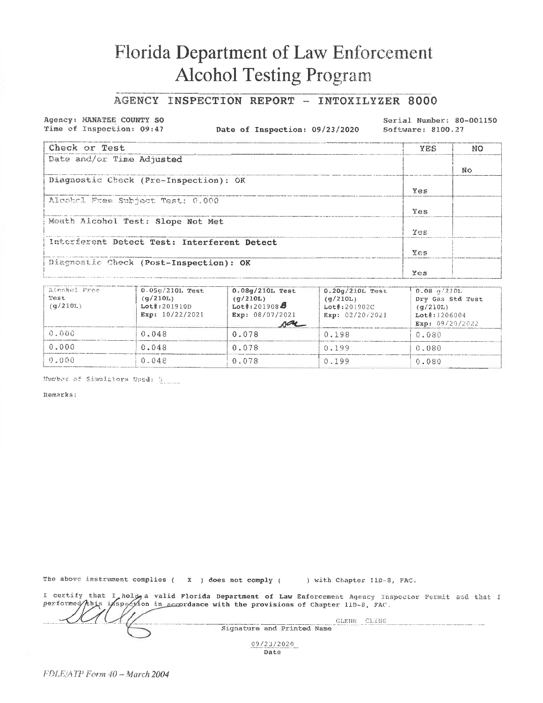## Florida Department of Law Enforcement **Alcohol Testing Program**

## AGENCY INSPECTION REPORT - INTOXILYZER 8000

Agency: MANATEE COUNTY SO Time of Inspection: 09:47

Date of Inspection: 09/23/2020

Serial Number: 80-001150 Software: 8100.27

| Check or Test                               | YES | NO  |
|---------------------------------------------|-----|-----|
| Date and/or Time Adjusted                   |     |     |
|                                             |     | No. |
| Diagnostic Check (Pre-Inspection): OK       |     |     |
|                                             | Yes |     |
| Alcohol Free Subject Test: 0.000            |     |     |
|                                             | Yes |     |
| Mouth Alcohol Test: Slope Not Met           |     |     |
|                                             | Yas |     |
| Interferent Detect Test: Interferent Detect |     |     |
|                                             | Ves |     |
| Diagnostic Check (Post-Inspection): OK      |     |     |
|                                             | Yes |     |

| hinnbol Pree<br>Test<br>(q/210L) | $0.05q/210L$ Test<br>(q/210L)<br>$Lot$ : 201910D<br>Exp: $10/22/2021$ | $0.08q/210L$ Test<br>(q/210L)<br>$Let$ :201908 $\ddot{\theta}$<br>Exp: $08/07/2021$<br>ra | $0.20q/210L$ Test<br>(q/210L)<br>$Lot\#:201902C$<br>Exp: 02/20/2021 | $0.08 \frac{m}{210}$<br>Dry Gas Std Test<br>(q/210L)<br>$Lo_t$ $\sharp$ : 1206004<br>Exp: $09/20/2022$ |
|----------------------------------|-----------------------------------------------------------------------|-------------------------------------------------------------------------------------------|---------------------------------------------------------------------|--------------------------------------------------------------------------------------------------------|
| 0.000                            | 0.048                                                                 | 0.078                                                                                     | 0.198                                                               | 0.080                                                                                                  |
| 0.000                            | 0.048                                                                 | 0.078                                                                                     | (1.199)                                                             | 0.080                                                                                                  |
| 0.000                            | 0.048                                                                 | 0.078                                                                                     | 0.199                                                               | 0.080                                                                                                  |

Humber of Simulators Used: 9

Remarks:

The above instrument complies ( $\chi$ ) does not comply (

) with Chapter 11D-8, FAC.

I certify that I hold, a valid Florida Department of Law Enforcement Agency Inspector Permit and that I performed/this inspection in accordance with the provisions of Chapter 110-8, FAC.

GLENN CLINE Signature and Printed Name